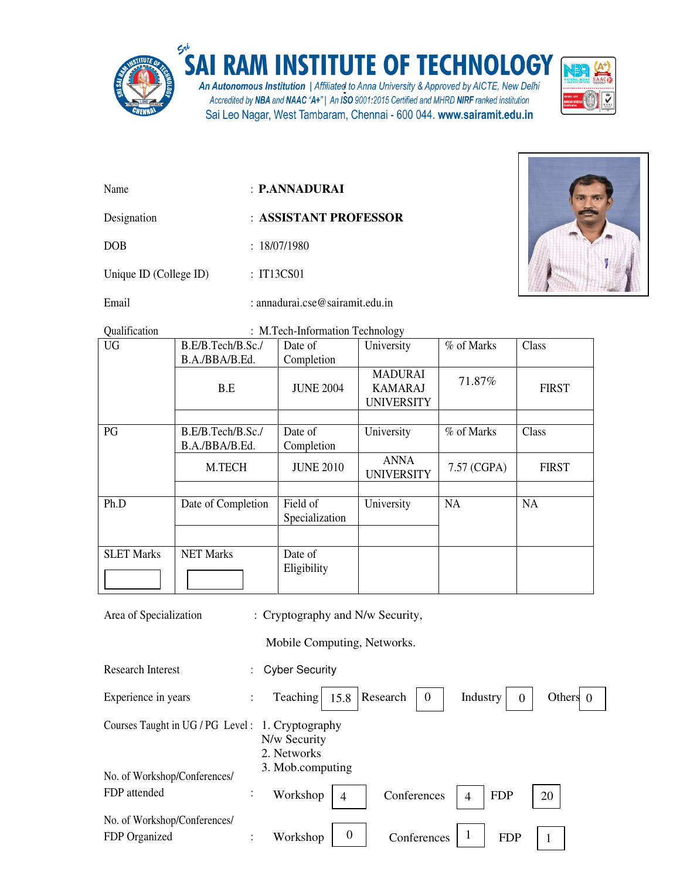

## SAI RAM INSTITUTE OF TECHNOLOGY

An Autonomous Institution | Affiliated to Anna University & Approved by AICTE, New Delhi Accredited by NBA and NAAC "A+" | An ISO 9001:2015 Certified and MHRD NIRF ranked institution Sai Leo Nagar, West Tambaram, Chennai - 600 044. www.sairamit.edu.in



- Name : **P.ANNADURAI**
- Designation : **ASSISTANT PROFESSOR**

DOB : 18/07/1980

Unique ID (College ID) : IT13CS01

Email : annadurai.cse@sairamit.edu.in



Qualification : M.Tech-Information Technology

| <b>UG</b>         | B.E/B.Tech/B.Sc./                   | Date of                    | <i>oj</i><br>University                               | % of Marks  | Class        |
|-------------------|-------------------------------------|----------------------------|-------------------------------------------------------|-------------|--------------|
|                   | B.A./BBA/B.Ed.                      | Completion                 |                                                       |             |              |
|                   | B.E                                 | <b>JUNE 2004</b>           | <b>MADURAI</b><br><b>KAMARAJ</b><br><b>UNIVERSITY</b> | 71.87%      | <b>FIRST</b> |
|                   |                                     |                            |                                                       |             |              |
| PG                | B.E/B.Tech/B.Sc./<br>B.A./BBA/B.Ed. | Date of<br>Completion      | University                                            | % of Marks  | Class        |
|                   | M.TECH                              | <b>JUNE 2010</b>           | ANNA<br><b>UNIVERSITY</b>                             | 7.57 (CGPA) | <b>FIRST</b> |
|                   |                                     |                            |                                                       |             |              |
| Ph.D              | Date of Completion                  | Field of<br>Specialization | University                                            | <b>NA</b>   | NA           |
|                   |                                     |                            |                                                       |             |              |
| <b>SLET Marks</b> | <b>NET Marks</b>                    | Date of<br>Eligibility     |                                                       |             |              |

Area of Specialization : Cryptography and N/w Security,

Mobile Computing, Networks.

| Research Interest                                |                      | <b>Cyber Security</b>                                                                           |
|--------------------------------------------------|----------------------|-------------------------------------------------------------------------------------------------|
| Experience in years                              |                      | Teaching<br>Research<br>$\overline{0}$<br>Industry<br>Others $\theta$<br>15.8<br>$\overline{0}$ |
| Courses Taught in UG / PG Level: 1. Cryptography |                      | N/w Security<br>2. Networks<br>3. Mob.computing                                                 |
| No. of Workshop/Conferences/<br>FDP attended     | $\ddot{\phantom{a}}$ | Workshop<br>Conferences<br><b>FDP</b><br>20<br>4<br>$\overline{4}$                              |
| No. of Workshop/Conferences/<br>FDP Organized    |                      | $\boldsymbol{0}$<br>1<br>Conferences<br>Workshop<br><b>FDP</b>                                  |